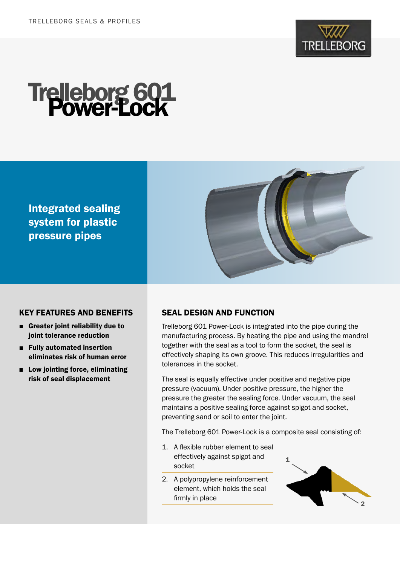

# Trelleborg 601 Power-Lock

Integrated sealing system for plastic pressure pipes



# KEY FEATURES AND BENEFITS

- Greater joint reliability due to joint tolerance reduction
- Fully automated insertion eliminates risk of human error
- Low jointing force, eliminating risk of seal displacement

# SEAL DESIGN AND FUNCTION

Trelleborg 601 Power-Lock is integrated into the pipe during the manufacturing process. By heating the pipe and using the mandrel together with the seal as a tool to form the socket, the seal is effectively shaping its own groove. This reduces irregularities and tolerances in the socket.

The seal is equally effective under positive and negative pipe pressure (vacuum). Under positive pressure, the higher the pressure the greater the sealing force. Under vacuum, the seal maintains a positive sealing force against spigot and socket, preventing sand or soil to enter the joint.

The Trelleborg 601 Power-Lock is a composite seal consisting of:

- 1. A flexible rubber element to seal effectively against spigot and socket
- 2. A polypropylene reinforcement element, which holds the seal firmly in place